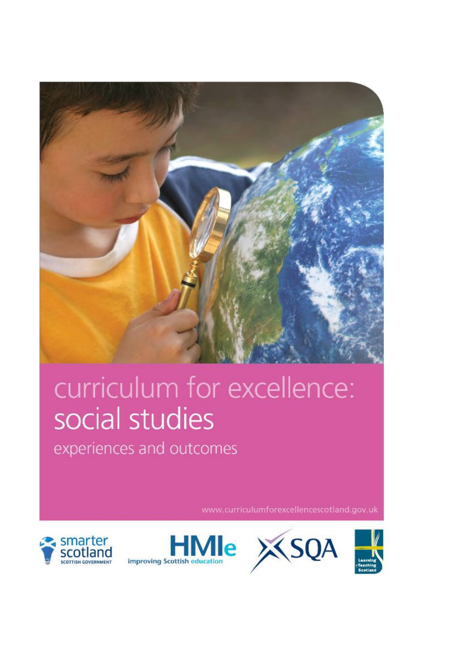

# curriculum for excellence: social studies

experiences and outcomes

www.curriculumforexcellencescotland.gov.uk







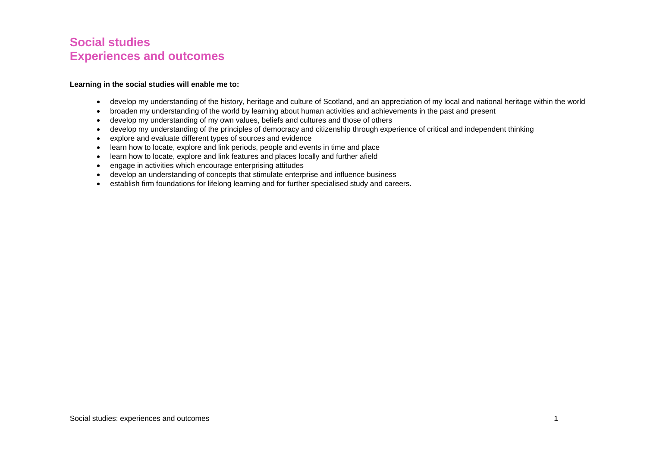# **Social studies Experiences and outcomes**

#### **Learning in the social studies will enable me to:**

- develop my understanding of the history, heritage and culture of Scotland, and an appreciation of my local and national heritage within the world
- broaden my understanding of the world by learning about human activities and achievements in the past and present
- develop my understanding of my own values, beliefs and cultures and those of others
- develop my understanding of the principles of democracy and citizenship through experience of critical and independent thinking
- explore and evaluate different types of sources and evidence
- learn how to locate, explore and link periods, people and events in time and place
- learn how to locate, explore and link features and places locally and further afield
- engage in activities which encourage enterprising attitudes
- develop an understanding of concepts that stimulate enterprise and influence business
- establish firm foundations for lifelong learning and for further specialised study and careers.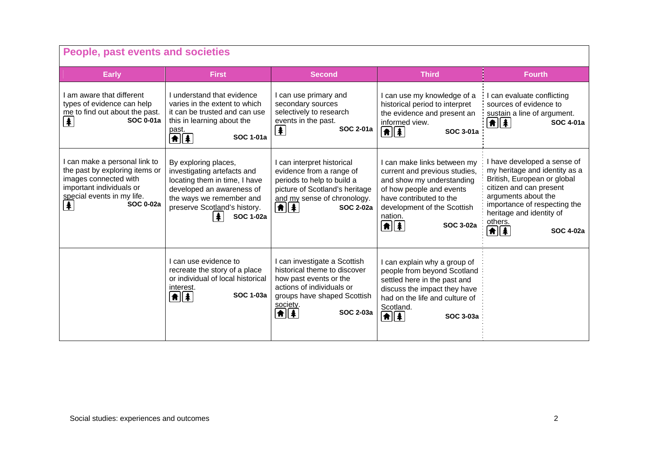| People, past events and societies                                                                                                                                           |                                                                                                                                                                                                        |                                                                                                                                                                                                     |                                                                                                                                                                                                                                  |                                                                                                                                                                                                                                                        |
|-----------------------------------------------------------------------------------------------------------------------------------------------------------------------------|--------------------------------------------------------------------------------------------------------------------------------------------------------------------------------------------------------|-----------------------------------------------------------------------------------------------------------------------------------------------------------------------------------------------------|----------------------------------------------------------------------------------------------------------------------------------------------------------------------------------------------------------------------------------|--------------------------------------------------------------------------------------------------------------------------------------------------------------------------------------------------------------------------------------------------------|
| <b>Early</b>                                                                                                                                                                | <b>First</b>                                                                                                                                                                                           | <b>Second</b>                                                                                                                                                                                       | <b>Third</b>                                                                                                                                                                                                                     | <b>Fourth</b>                                                                                                                                                                                                                                          |
| I am aware that different<br>types of evidence can help<br>me to find out about the past.<br><b>SOC 0-01a</b><br>【车】                                                        | I understand that evidence<br>varies in the extent to which<br>it can be trusted and can use<br>this in learning about the<br>past.<br><b>SOC 1-01a</b><br>$\left  \mathbf{f} \right $                 | I can use primary and<br>secondary sources<br>selectively to research<br>events in the past.<br><b>SOC 2-01a</b><br>$\blacktriangle$                                                                | I can use my knowledge of a<br>historical period to interpret<br>the evidence and present an<br>informed view.<br>$\boxed{\text{A}}$ $\boxed{\text{A}}$<br>SOC 3-01a                                                             | I can evaluate conflicting<br>sources of evidence to<br>sustain a line of argument.<br>▲ ▲<br>SOC 4-01a                                                                                                                                                |
| I can make a personal link to<br>the past by exploring items or<br>images connected with<br>important individuals or<br>special events in my life.<br>牟<br><b>SOC 0-02a</b> | By exploring places,<br>investigating artefacts and<br>locating them in time, I have<br>developed an awareness of<br>the ways we remember and<br>preserve Scotland's history.<br><b>SOC 1-02a</b><br>丰 | I can interpret historical<br>evidence from a range of<br>periods to help to build a<br>picture of Scotland's heritage<br>and my sense of chronology.<br>$\boxed{\textbf{f}$<br><b>SOC 2-02a</b>    | I can make links between my<br>current and previous studies,<br>and show my understanding<br>of how people and events<br>have contributed to the<br>development of the Scottish<br>nation.<br><b> A  </b> ≱ <br><b>SOC 3-02a</b> | I have developed a sense of<br>my heritage and identity as a<br>British, European or global<br>citizen and can present<br>arguments about the<br>importance of respecting the<br>heritage and identity of<br>others.<br><b>AIA</b><br><b>SOC 4-02a</b> |
|                                                                                                                                                                             | I can use evidence to<br>recreate the story of a place<br>or individual of local historical<br>interest.<br><b>SOC 1-03a</b><br>$\left  \mathbf{f} \right $                                            | I can investigate a Scottish<br>historical theme to discover<br>how past events or the<br>actions of individuals or<br>groups have shaped Scottish<br>society.<br><b>SOC 2-03a</b><br>$\frac{1}{2}$ | I can explain why a group of<br>people from beyond Scotland<br>settled here in the past and<br>discuss the impact they have<br>had on the life and culture of<br>Scotland.<br>⋔│∤<br><b>SOC 3-03a</b>                            |                                                                                                                                                                                                                                                        |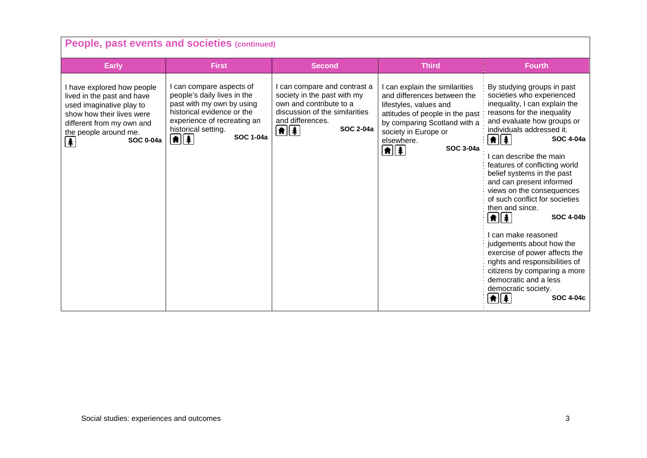| People, past events and societies (continued)                                                                                                                                                      |                                                                                                                                                                                                                             |                                                                                                                                                                                                 |                                                                                                                                                                                                                                                   |                                                                                                                                                                                                                                                                                                                                                                                                                                                                                                                                                                                                                                                                                 |  |
|----------------------------------------------------------------------------------------------------------------------------------------------------------------------------------------------------|-----------------------------------------------------------------------------------------------------------------------------------------------------------------------------------------------------------------------------|-------------------------------------------------------------------------------------------------------------------------------------------------------------------------------------------------|---------------------------------------------------------------------------------------------------------------------------------------------------------------------------------------------------------------------------------------------------|---------------------------------------------------------------------------------------------------------------------------------------------------------------------------------------------------------------------------------------------------------------------------------------------------------------------------------------------------------------------------------------------------------------------------------------------------------------------------------------------------------------------------------------------------------------------------------------------------------------------------------------------------------------------------------|--|
| <b>Early</b>                                                                                                                                                                                       | <b>First</b>                                                                                                                                                                                                                | <b>Second</b>                                                                                                                                                                                   | <b>Third</b>                                                                                                                                                                                                                                      | <b>Fourth</b>                                                                                                                                                                                                                                                                                                                                                                                                                                                                                                                                                                                                                                                                   |  |
| I have explored how people<br>lived in the past and have<br>used imaginative play to<br>show how their lives were<br>different from my own and<br>the people around me.<br><b>SOC 0-04a</b><br>  4 | I can compare aspects of<br>people's daily lives in the<br>past with my own by using<br>historical evidence or the<br>experience of recreating an<br>historical setting.<br><b>SOC 1-04a</b><br>$\left  \mathbf{f} \right $ | I can compare and contrast a<br>society in the past with my<br>own and contribute to a<br>discussion of the similarities<br>and differences.<br><b>SOC 2-04a</b><br>$\left  \mathbf{f} \right $ | can explain the similarities<br>and differences between the<br>lifestyles, values and<br>attitudes of people in the past<br>by comparing Scotland with a<br>society in Europe or<br>elsewhere.<br><b>SOC 3-04a</b><br>$\left  \mathbf{f} \right $ | By studying groups in past<br>societies who experienced<br>inequality, I can explain the<br>reasons for the inequality<br>and evaluate how groups or<br>individuals addressed it.<br>11 1<br>SOC 4-04a<br>can describe the main<br>features of conflicting world<br>belief systems in the past<br>and can present informed<br>views on the consequences<br>of such conflict for societies<br>then and since.<br><b>★   ↑</b><br><b>SOC 4-04b</b><br>can make reasoned<br>judgements about how the<br>exercise of power affects the<br>rights and responsibilities of<br>citizens by comparing a more<br>democratic and a less<br>democratic society.<br>★∥≸<br><b>SOC 4-04c</b> |  |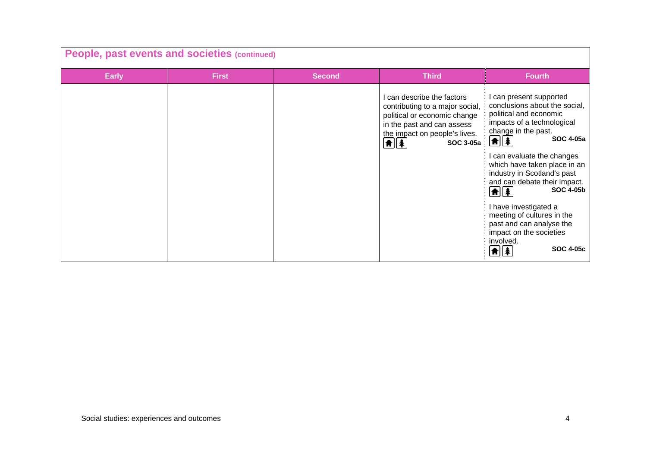| People, past events and societies (continued) |              |               |                                                                                                                                                                                                  |                                                                                                                                                                                                                                                                                                                                                                                                                                                                                                         |
|-----------------------------------------------|--------------|---------------|--------------------------------------------------------------------------------------------------------------------------------------------------------------------------------------------------|---------------------------------------------------------------------------------------------------------------------------------------------------------------------------------------------------------------------------------------------------------------------------------------------------------------------------------------------------------------------------------------------------------------------------------------------------------------------------------------------------------|
| <b>Early</b>                                  | <b>First</b> | <b>Second</b> | <b>Third</b>                                                                                                                                                                                     | <b>Fourth</b>                                                                                                                                                                                                                                                                                                                                                                                                                                                                                           |
|                                               |              |               | can describe the factors<br>contributing to a major social,<br>political or economic change<br>in the past and can assess<br>the impact on people's lives.<br>$\boxed{\textbf{f}}$<br>SOC 3-05a: | can present supported<br>conclusions about the social,<br>political and economic<br>impacts of a technological<br>change in the past.<br><b>SOC 4-05a</b><br>$\frac{1}{2}$<br>can evaluate the changes<br>which have taken place in an<br>industry in Scotland's past<br>and can debate their impact.<br><b>SOC 4-05b</b><br>$\left  \mathbf{f} \right $<br>I have investigated a<br>meeting of cultures in the<br>past and can analyse the<br>impact on the societies<br>involved.<br><b>SOC 4-05c</b> |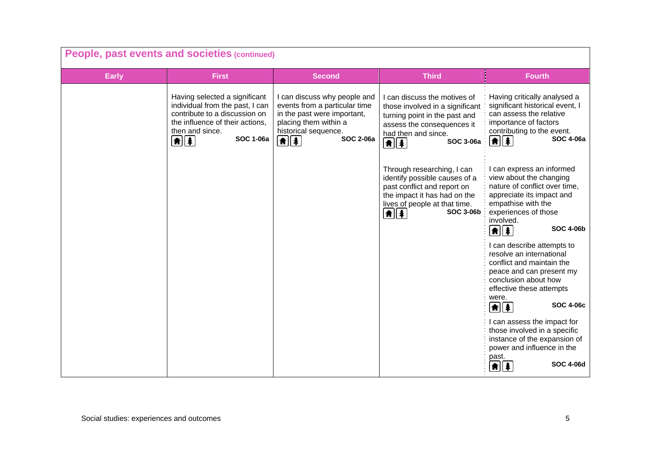| People, past events and societies (continued) |                                                                                                                                                                                                            |                                                                                                                                                                                              |                                                                                                                                                                                                                             |                                                                                                                                                                                                                        |
|-----------------------------------------------|------------------------------------------------------------------------------------------------------------------------------------------------------------------------------------------------------------|----------------------------------------------------------------------------------------------------------------------------------------------------------------------------------------------|-----------------------------------------------------------------------------------------------------------------------------------------------------------------------------------------------------------------------------|------------------------------------------------------------------------------------------------------------------------------------------------------------------------------------------------------------------------|
| <b>Early</b>                                  | <b>First</b>                                                                                                                                                                                               | <b>Second</b>                                                                                                                                                                                | <b>Third</b>                                                                                                                                                                                                                | <b>Fourth</b>                                                                                                                                                                                                          |
|                                               | Having selected a significant<br>individual from the past, I can<br>contribute to a discussion on<br>the influence of their actions,<br>then and since.<br><b>SOC 1-06a</b><br>$\left  \mathbf{f} \right $ | I can discuss why people and<br>events from a particular time<br>in the past were important,<br>placing them within a<br>historical sequence.<br><b>SOC 2-06a</b><br>$\frac{1}{\frac{1}{2}}$ | I can discuss the motives of<br>those involved in a significant<br>turning point in the past and<br>assess the consequences it<br>had then and since.<br><b>SOC 3-06a</b><br>$\boxed{\textbf{f}}$ $\boxed{\textbf{f}}$      | Having critically analysed a<br>significant historical event, I<br>can assess the relative<br>importance of factors<br>contributing to the event.<br><b>SOC 4-06a</b><br>$  \hat{\mathbf{f}}  $                        |
|                                               |                                                                                                                                                                                                            |                                                                                                                                                                                              | Through researching, I can<br>identify possible causes of a<br>past conflict and report on<br>the impact it has had on the<br>lives of people at that time.<br><b>SOC 3-06b</b><br>$  \hat{\mathbf{n}}  \hat{\mathbf{z}}  $ | I can express an informed<br>view about the changing<br>nature of conflict over time,<br>appreciate its impact and<br>empathise with the<br>experiences of those<br>involved.<br><b>SOC 4-06b</b><br>$\frac{1}{2}$     |
|                                               |                                                                                                                                                                                                            |                                                                                                                                                                                              |                                                                                                                                                                                                                             | I can describe attempts to<br>resolve an international<br>conflict and maintain the<br>peace and can present my<br>conclusion about how<br>effective these attempts<br>were.<br><b>SOC 4-06c</b><br>$\boxed{\uparrow}$ |
|                                               |                                                                                                                                                                                                            |                                                                                                                                                                                              |                                                                                                                                                                                                                             | I can assess the impact for<br>those involved in a specific<br>instance of the expansion of<br>power and influence in the<br>past.<br><b>SOC 4-06d</b><br>角∥条                                                          |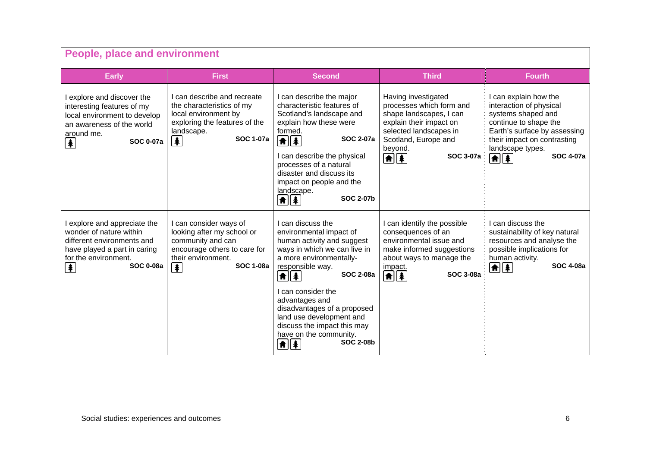| <b>People, place and environment</b>                                                                                                                                                    |                                                                                                                                                                                    |                                                                                                                                                                                      |                                                                                                                                                                                                     |                                                                                                                                                                                    |
|-----------------------------------------------------------------------------------------------------------------------------------------------------------------------------------------|------------------------------------------------------------------------------------------------------------------------------------------------------------------------------------|--------------------------------------------------------------------------------------------------------------------------------------------------------------------------------------|-----------------------------------------------------------------------------------------------------------------------------------------------------------------------------------------------------|------------------------------------------------------------------------------------------------------------------------------------------------------------------------------------|
| <b>Early</b>                                                                                                                                                                            | <b>First</b>                                                                                                                                                                       | <b>Second</b>                                                                                                                                                                        | <b>Third</b>                                                                                                                                                                                        | <b>Fourth</b>                                                                                                                                                                      |
| I explore and discover the<br>interesting features of my<br>local environment to develop<br>an awareness of the world<br>around me.<br><b>SOC 0-07a</b><br>$\left  \color{red} \right $ | I can describe and recreate<br>the characteristics of my<br>local environment by<br>exploring the features of the<br>landscape.<br><b>SOC 1-07a</b><br>$\left  \mathbf{r} \right $ | I can describe the major<br>characteristic features of<br>Scotland's landscape and<br>explain how these were<br>formed.<br><b>SOC 2-07a</b><br>$\boxed{\uparrow}$                    | Having investigated<br>processes which form and<br>shape landscapes, I can<br>explain their impact on<br>selected landscapes in<br>Scotland, Europe and<br>beyond.                                  | I can explain how the<br>interaction of physical<br>systems shaped and<br>continue to shape the<br>Earth's surface by assessing<br>their impact on contrasting<br>landscape types. |
|                                                                                                                                                                                         |                                                                                                                                                                                    | I can describe the physical<br>processes of a natural<br>disaster and discuss its<br>impact on people and the<br>landscape.<br><b>SOC 2-07b</b><br>ି∄∐ୀ                              | SOC 3-07a<br>$  \hat{\mathbf{f}}  $                                                                                                                                                                 | <b>SOC 4-07a</b><br><b>A</b>   4                                                                                                                                                   |
| I explore and appreciate the<br>wonder of nature within<br>different environments and<br>have played a part in caring<br>for the environment.<br><b>SOC 0-08a</b><br>【奉                 | I can consider ways of<br>looking after my school or<br>community and can<br>encourage others to care for<br>their environment.<br><b>SOC 1-08a</b><br>丰                           | I can discuss the<br>environmental impact of<br>human activity and suggest<br>ways in which we can live in<br>a more environmentally-<br>responsible way.<br><b>SOC 2-08a</b><br>青川条 | I can identify the possible<br>consequences of an<br>environmental issue and<br>make informed suggestions<br>about ways to manage the<br>impact.<br><b>SOC 3-08a</b><br>$\left  \mathbf{f} \right $ | I can discuss the<br>sustainability of key natural<br>resources and analyse the<br>possible implications for<br>human activity.<br><b>SOC 4-08a</b><br><b>★   ↑</b>                |
|                                                                                                                                                                                         |                                                                                                                                                                                    | I can consider the<br>advantages and<br>disadvantages of a proposed<br>land use development and<br>discuss the impact this may<br>have on the community.<br><b>SOC 2-08b</b><br>角  条 |                                                                                                                                                                                                     |                                                                                                                                                                                    |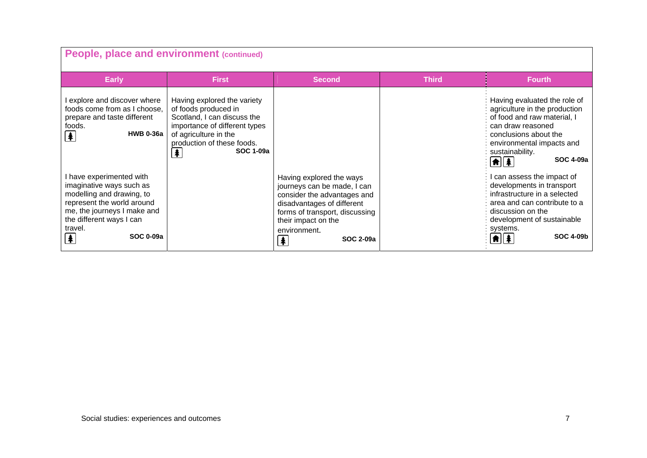| People, place and environment (continued)                                                                                                                                                                                |                                                                                                                                                                                                     |                                                                                                                                                                                                                   |              |                                                                                                                                                                                                                                               |
|--------------------------------------------------------------------------------------------------------------------------------------------------------------------------------------------------------------------------|-----------------------------------------------------------------------------------------------------------------------------------------------------------------------------------------------------|-------------------------------------------------------------------------------------------------------------------------------------------------------------------------------------------------------------------|--------------|-----------------------------------------------------------------------------------------------------------------------------------------------------------------------------------------------------------------------------------------------|
| <b>Early</b>                                                                                                                                                                                                             | <b>First</b>                                                                                                                                                                                        | <b>Second</b>                                                                                                                                                                                                     | <b>Third</b> | <b>Fourth</b>                                                                                                                                                                                                                                 |
| I explore and discover where<br>foods come from as I choose,<br>prepare and taste different<br>foods.<br><b>HWB 0-36a</b><br>$\clubsuit$                                                                                 | Having explored the variety<br>of foods produced in<br>Scotland, I can discuss the<br>importance of different types<br>of agriculture in the<br>production of these foods.<br>牟<br><b>SOC 1-09a</b> |                                                                                                                                                                                                                   |              | Having evaluated the role of<br>agriculture in the production<br>of food and raw material, I<br>can draw reasoned<br>conclusions about the<br>environmental impacts and<br>sustainability.<br><b>SOC 4-09a</b><br>$\left  \mathbf{f} \right $ |
| I have experimented with<br>imaginative ways such as<br>modelling and drawing, to<br>represent the world around<br>me, the journeys I make and<br>the different ways I can<br>travel.<br><b>SOC 0-09a</b><br>$\clubsuit$ |                                                                                                                                                                                                     | Having explored the ways<br>journeys can be made, I can<br>consider the advantages and<br>disadvantages of different<br>forms of transport, discussing<br>their impact on the<br>environment.<br>SOC 2-09a<br>  ≸ |              | I can assess the impact of<br>developments in transport<br>infrastructure in a selected<br>area and can contribute to a<br>discussion on the<br>development of sustainable<br>systems.<br><b>SOC 4-09b</b>                                    |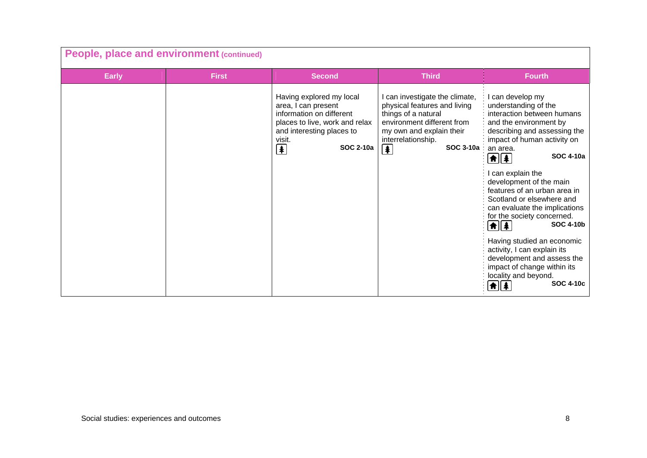| People, place and environment (continued) |              |                                                                                                                                                                                                                  |                                                                                                                                                                                                                   |                                                                                                                                                                                                                                                                                                                                                                                                                                                                                                                                                                                                                                       |
|-------------------------------------------|--------------|------------------------------------------------------------------------------------------------------------------------------------------------------------------------------------------------------------------|-------------------------------------------------------------------------------------------------------------------------------------------------------------------------------------------------------------------|---------------------------------------------------------------------------------------------------------------------------------------------------------------------------------------------------------------------------------------------------------------------------------------------------------------------------------------------------------------------------------------------------------------------------------------------------------------------------------------------------------------------------------------------------------------------------------------------------------------------------------------|
| <b>Early</b>                              | <b>First</b> | <b>Second</b>                                                                                                                                                                                                    | <b>Third</b>                                                                                                                                                                                                      | <b>Fourth</b>                                                                                                                                                                                                                                                                                                                                                                                                                                                                                                                                                                                                                         |
|                                           |              | Having explored my local<br>area, I can present<br>information on different<br>places to live, work and relax<br>and interesting places to<br>visit.<br>$\left  \mathbf{\pmb{\ast}} \right $<br><b>SOC 2-10a</b> | I can investigate the climate,<br>physical features and living<br>things of a natural<br>environment different from<br>my own and explain their<br>interrelationship.<br>SOC 3-10a<br>$\left  \mathbf{F} \right $ | I can develop my<br>understanding of the<br>interaction between humans<br>and the environment by<br>describing and assessing the<br>impact of human activity on<br>an area.<br><b>SOC 4-10a</b><br>$\frac{1}{2}$<br>can explain the<br>development of the main<br>features of an urban area in<br>Scotland or elsewhere and<br>can evaluate the implications<br>for the society concerned.<br><b>SOC 4-10b</b><br><b>A</b>    4<br>Having studied an economic<br>activity, I can explain its<br>development and assess the<br>impact of change within its<br>locality and beyond.<br><b>SOC 4-10c</b><br>$ \hat{\mathbf{n}}  \hat{z}$ |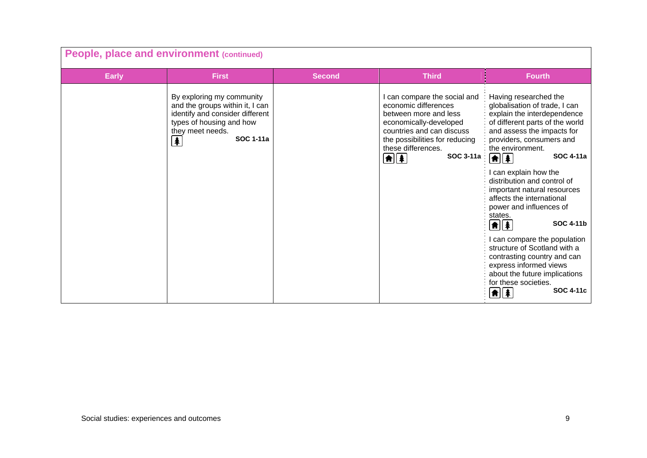| People, place and environment (continued) |                                                                                                                                                                          |               |                                                                                                                                                                                                                         |                                                                                                                                                                                                                                                                                                                                                                                                                                                                                                                                                                                                                                                                              |
|-------------------------------------------|--------------------------------------------------------------------------------------------------------------------------------------------------------------------------|---------------|-------------------------------------------------------------------------------------------------------------------------------------------------------------------------------------------------------------------------|------------------------------------------------------------------------------------------------------------------------------------------------------------------------------------------------------------------------------------------------------------------------------------------------------------------------------------------------------------------------------------------------------------------------------------------------------------------------------------------------------------------------------------------------------------------------------------------------------------------------------------------------------------------------------|
| <b>Early</b>                              | <b>First</b>                                                                                                                                                             | <b>Second</b> | <b>Third</b>                                                                                                                                                                                                            | <b>Fourth</b>                                                                                                                                                                                                                                                                                                                                                                                                                                                                                                                                                                                                                                                                |
|                                           | By exploring my community<br>and the groups within it, I can<br>identify and consider different<br>types of housing and how<br>they meet needs.<br><b>SOC 1-11a</b><br>丰 |               | can compare the social and<br>economic differences<br>between more and less<br>economically-developed<br>countries and can discuss<br>the possibilities for reducing<br>these differences.<br>SOC 3-11a :<br>$\bigcirc$ | Having researched the<br>globalisation of trade, I can<br>explain the interdependence<br>of different parts of the world<br>and assess the impacts for<br>providers, consumers and<br>the environment.<br><b>SOC 4-11a</b><br>$\boxed{\textbf{f}}$<br>I can explain how the<br>distribution and control of<br>important natural resources<br>affects the international<br>power and influences of<br>states.<br><b>SOC 4-11b</b><br>$\left  \mathbf{f} \right $<br>I can compare the population<br>structure of Scotland with a<br>contrasting country and can<br>express informed views<br>about the future implications<br>for these societies.<br><b>SOC 4-11c</b><br>台∥条 |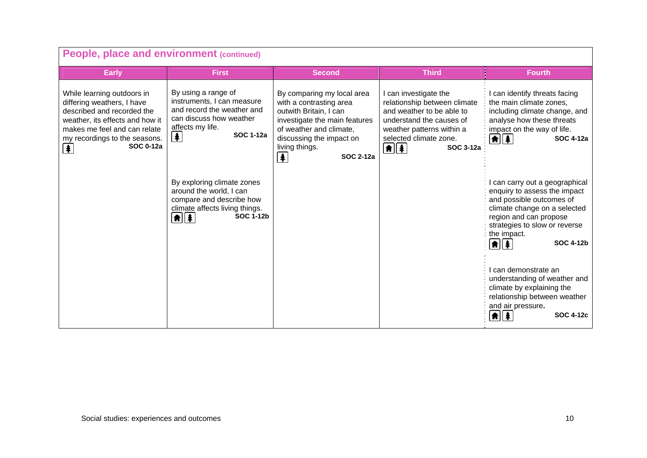| People, place and environment (continued)                                                                                                                                                                           |                                                                                                                                                                                    |                                                                                                                                                                                                                                               |                                                                                                                                                                                                                  |                                                                                                                                                                                                                                                                 |
|---------------------------------------------------------------------------------------------------------------------------------------------------------------------------------------------------------------------|------------------------------------------------------------------------------------------------------------------------------------------------------------------------------------|-----------------------------------------------------------------------------------------------------------------------------------------------------------------------------------------------------------------------------------------------|------------------------------------------------------------------------------------------------------------------------------------------------------------------------------------------------------------------|-----------------------------------------------------------------------------------------------------------------------------------------------------------------------------------------------------------------------------------------------------------------|
| <b>Early</b>                                                                                                                                                                                                        | <b>First</b>                                                                                                                                                                       | <b>Second</b>                                                                                                                                                                                                                                 | <b>Third</b>                                                                                                                                                                                                     | <b>Fourth</b>                                                                                                                                                                                                                                                   |
| While learning outdoors in<br>differing weathers, I have<br>described and recorded the<br>weather, its effects and how it<br>makes me feel and can relate<br>my recordings to the seasons.<br><b>SOC 0-12a</b><br>丰 | By using a range of<br>instruments, I can measure<br>and record the weather and<br>can discuss how weather<br>affects my life.<br><b>SOC 1-12a</b><br>$\left  \frac{1}{2} \right $ | By comparing my local area<br>with a contrasting area<br>outwith Britain, I can<br>investigate the main features<br>of weather and climate,<br>discussing the impact on<br>living things.<br><b>SOC 2-12a</b><br>$\left  \frac{1}{2} \right $ | I can investigate the<br>relationship between climate<br>and weather to be able to<br>understand the causes of<br>weather patterns within a<br>selected climate zone.<br>$\boxed{\textbf{f}$<br><b>SOC 3-12a</b> | I can identify threats facing<br>the main climate zones.<br>including climate change, and<br>analyse how these threats<br>impact on the way of life.<br>$  \hat{\mathbf{n}}  \hat{\mathbf{a}}  $<br>SOC 4-12a                                                   |
|                                                                                                                                                                                                                     | By exploring climate zones<br>around the world, I can<br>compare and describe how<br>climate affects living things.<br><b>SOC 1-12b</b><br>$\frac{1}{\frac{1}{2}}$                 |                                                                                                                                                                                                                                               |                                                                                                                                                                                                                  | can carry out a geographical<br>enquiry to assess the impact<br>and possible outcomes of<br>climate change on a selected<br>region and can propose<br>strategies to slow or reverse<br>the impact.<br>$\frac{1}{2}$<br><b>SOC 4-12b</b><br>l can demonstrate an |
|                                                                                                                                                                                                                     |                                                                                                                                                                                    |                                                                                                                                                                                                                                               |                                                                                                                                                                                                                  | understanding of weather and<br>climate by explaining the<br>relationship between weather<br>and air pressure.<br><b>SOC 4-12c</b><br>角∥条                                                                                                                       |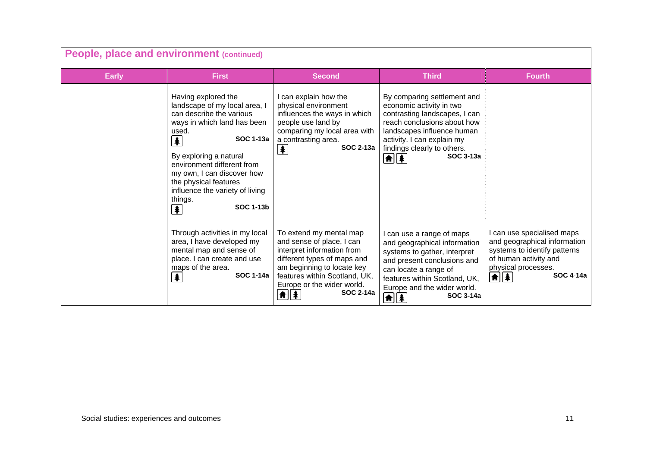| People, place and environment (continued) |                                                                                                                                                                                                                                                                                                                                                                                |                                                                                                                                                                                                                                    |                                                                                                                                                                                                                                                        |                                                                                                                                                                         |
|-------------------------------------------|--------------------------------------------------------------------------------------------------------------------------------------------------------------------------------------------------------------------------------------------------------------------------------------------------------------------------------------------------------------------------------|------------------------------------------------------------------------------------------------------------------------------------------------------------------------------------------------------------------------------------|--------------------------------------------------------------------------------------------------------------------------------------------------------------------------------------------------------------------------------------------------------|-------------------------------------------------------------------------------------------------------------------------------------------------------------------------|
| <b>Early</b>                              | <b>First</b>                                                                                                                                                                                                                                                                                                                                                                   | <b>Second</b>                                                                                                                                                                                                                      | <b>Third</b>                                                                                                                                                                                                                                           | <b>Fourth</b>                                                                                                                                                           |
|                                           | Having explored the<br>landscape of my local area, I<br>can describe the various<br>ways in which land has been<br>used.<br><b>SOC 1-13a</b><br>$\blacklozenge$<br>By exploring a natural<br>environment different from<br>my own, I can discover how<br>the physical features<br>influence the variety of living<br>things.<br>SOC 1-13b<br>$\left  \mathbf{\pmb{*}} \right $ | I can explain how the<br>physical environment<br>influences the ways in which<br>people use land by<br>comparing my local area with<br>a contrasting area.<br>SOC 2-13a<br>$\biguplus$                                             | By comparing settlement and<br>economic activity in two<br>contrasting landscapes, I can<br>reach conclusions about how<br>landscapes influence human<br>activity. I can explain my<br>findings clearly to others.<br>SOC 3-13a<br>$\frac{1}{2}$       |                                                                                                                                                                         |
|                                           | Through activities in my local<br>area, I have developed my<br>mental map and sense of<br>place. I can create and use<br>maps of the area.<br><b>SOC 1-14a</b><br>$\blacklozenge$                                                                                                                                                                                              | To extend my mental map<br>and sense of place, I can<br>interpret information from<br>different types of maps and<br>am beginning to locate key<br>features within Scotland, UK,<br>Europe or the wider world.<br>SOC 2-14a<br>角∥条 | I can use a range of maps<br>and geographical information<br>systems to gather, interpret<br>and present conclusions and<br>can locate a range of<br>features within Scotland, UK,<br>Europe and the wider world.<br>SOC 3-14a<br>$\boxed{\textbf{f}}$ | I can use specialised maps<br>and geographical information<br>systems to identify patterns<br>of human activity and<br>physical processes.<br><b>SOC 4-14a</b><br> ★  衤 |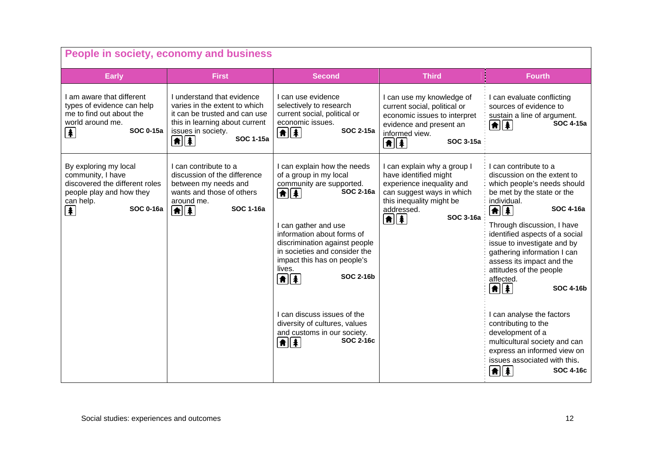| People in society, economy and business                                                                                                        |                                                                                                                                                                                           |                                                                                                                                                                                                                                                                                                                                                                                                                                                                       |                                                                                                                                                                                                             |                                                                                                                                                                                                                                                                                                                                                                                                                                                                                                                                                                                                                                                        |  |
|------------------------------------------------------------------------------------------------------------------------------------------------|-------------------------------------------------------------------------------------------------------------------------------------------------------------------------------------------|-----------------------------------------------------------------------------------------------------------------------------------------------------------------------------------------------------------------------------------------------------------------------------------------------------------------------------------------------------------------------------------------------------------------------------------------------------------------------|-------------------------------------------------------------------------------------------------------------------------------------------------------------------------------------------------------------|--------------------------------------------------------------------------------------------------------------------------------------------------------------------------------------------------------------------------------------------------------------------------------------------------------------------------------------------------------------------------------------------------------------------------------------------------------------------------------------------------------------------------------------------------------------------------------------------------------------------------------------------------------|--|
| <b>Early</b>                                                                                                                                   | <b>First</b>                                                                                                                                                                              | <b>Second</b>                                                                                                                                                                                                                                                                                                                                                                                                                                                         | <b>Third</b>                                                                                                                                                                                                | <b>Fourth</b>                                                                                                                                                                                                                                                                                                                                                                                                                                                                                                                                                                                                                                          |  |
| I am aware that different<br>types of evidence can help<br>me to find out about the<br>world around me.<br><b>SOC 0-15a</b><br>(4)             | I understand that evidence<br>varies in the extent to which<br>it can be trusted and can use<br>this in learning about current<br>issues in society.<br>SOC 1-15a<br>$\boxed{\textbf{f}}$ | I can use evidence<br>selectively to research<br>current social, political or<br>economic issues.<br><b>SOC 2-15a</b><br>$\boxed{\textbf{f}$                                                                                                                                                                                                                                                                                                                          | I can use my knowledge of<br>current social, political or<br>economic issues to interpret<br>evidence and present an<br>informed view.<br><b>SOC 3-15a</b><br>$\boxed{\textbf{f}$                           | I can evaluate conflicting<br>sources of evidence to<br>sustain a line of argument.<br><b>SOC 4-15a</b><br>$ \hat{\mathbf{n}}  \hat{\mathbf{z}} $                                                                                                                                                                                                                                                                                                                                                                                                                                                                                                      |  |
| By exploring my local<br>community, I have<br>discovered the different roles<br>people play and how they<br>can help.<br><b>SOC 0-16a</b><br>牟 | Lcan contribute to a<br>discussion of the difference<br>between my needs and<br>wants and those of others<br>around me.<br><b>SOC 1-16a</b><br>$\left  \mathbf{f} \right $                | I can explain how the needs<br>of a group in my local<br>community are supported.<br><b>SOC 2-16a</b><br>$\frac{1}{2}$<br>I can gather and use<br>information about forms of<br>discrimination against people<br>in societies and consider the<br>impact this has on people's<br>lives.<br>SOC 2-16b<br>$\boxed{\uparrow}$<br>I can discuss issues of the<br>diversity of cultures, values<br>and customs in our society.<br>SOC 2-16c<br>$\left  \mathbf{f} \right $ | I can explain why a group I<br>have identified might<br>experience inequality and<br>can suggest ways in which<br>this inequality might be<br>addressed.<br><b>SOC 3-16a</b><br>$\left  \mathbf{f} \right $ | I can contribute to a<br>discussion on the extent to<br>which people's needs should<br>be met by the state or the<br>individual.<br><b>SOC 4-16a</b><br>$\left  \mathbf{f} \right $<br>Through discussion, I have<br>identified aspects of a social<br>issue to investigate and by<br>gathering information I can<br>assess its impact and the<br>attitudes of the people<br>affected.<br>$\left  \mathbf{\hat{m}} \right $<br><b>SOC 4-16b</b><br>I can analyse the factors<br>contributing to the<br>development of a<br>multicultural society and can<br>express an informed view on<br>issues associated with this.<br>SOC 4-16c<br><b>A</b>    \$ |  |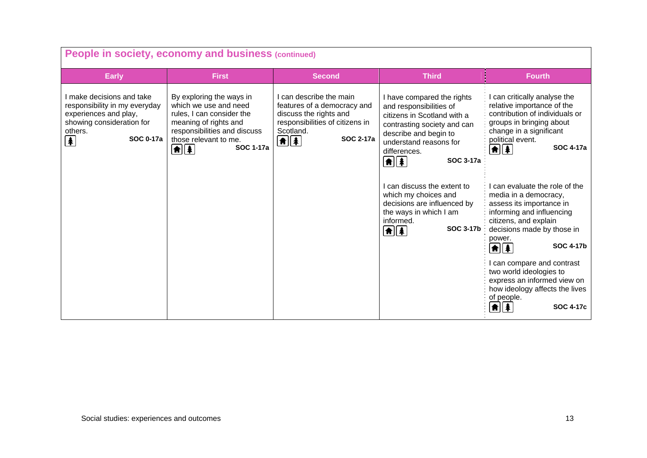| People in society, economy and business (continued)                                                                                                  |                                                                                                                                                                                                                                           |                                                                                                                                                                                               |                                                                                                                                                                                                                                                                                                                                                                                                      |                                                                                                                                                                                                                                                                                                                                                                                                                                                                                                                                                                                                                                          |
|------------------------------------------------------------------------------------------------------------------------------------------------------|-------------------------------------------------------------------------------------------------------------------------------------------------------------------------------------------------------------------------------------------|-----------------------------------------------------------------------------------------------------------------------------------------------------------------------------------------------|------------------------------------------------------------------------------------------------------------------------------------------------------------------------------------------------------------------------------------------------------------------------------------------------------------------------------------------------------------------------------------------------------|------------------------------------------------------------------------------------------------------------------------------------------------------------------------------------------------------------------------------------------------------------------------------------------------------------------------------------------------------------------------------------------------------------------------------------------------------------------------------------------------------------------------------------------------------------------------------------------------------------------------------------------|
| <b>Early</b>                                                                                                                                         | <b>First</b>                                                                                                                                                                                                                              | <b>Second</b>                                                                                                                                                                                 | <b>Third</b>                                                                                                                                                                                                                                                                                                                                                                                         | <b>Fourth</b>                                                                                                                                                                                                                                                                                                                                                                                                                                                                                                                                                                                                                            |
| I make decisions and take<br>responsibility in my everyday<br>experiences and play,<br>showing consideration for<br>others.<br><b>SOC 0-17a</b><br>牟 | By exploring the ways in<br>which we use and need<br>rules, I can consider the<br>meaning of rights and<br>responsibilities and discuss<br>those relevant to me.<br><b>SOC 1-17a</b><br>$\left  \mathbf{\hat{m}}\right  \mathbf{\hat{A}}$ | I can describe the main<br>features of a democracy and<br>discuss the rights and<br>responsibilities of citizens in<br>Scotland.<br><b>SOC 2-17a</b><br>$\boxed{\uparrow}$ $\boxed{\uparrow}$ | I have compared the rights<br>and responsibilities of<br>citizens in Scotland with a<br>contrasting society and can<br>describe and begin to<br>understand reasons for<br>differences.<br>$\frac{1}{2}$<br><b>SOC 3-17a</b><br>I can discuss the extent to<br>which my choices and<br>decisions are influenced by<br>the ways in which I am<br>informed.<br><b>SOC 3-17b</b><br>$\boxed{\textbf{f}}$ | I can critically analyse the<br>relative importance of the<br>contribution of individuals or<br>groups in bringing about<br>change in a significant<br>political event.<br><b>SOC 4-17a</b><br>$  \hat{\mathbf{f}}  $<br>can evaluate the role of the<br>media in a democracy,<br>assess its importance in<br>informing and influencing<br>citizens, and explain<br>decisions made by those in<br>power.<br><b>SOC 4-17b</b><br>$\frac{1}{2}$<br>can compare and contrast<br>two world ideologies to<br>express an informed view on<br>how ideology affects the lives<br>of people.<br><b>SOC 4-17c</b><br>$\left  \bm{\hat{n}} \right $ |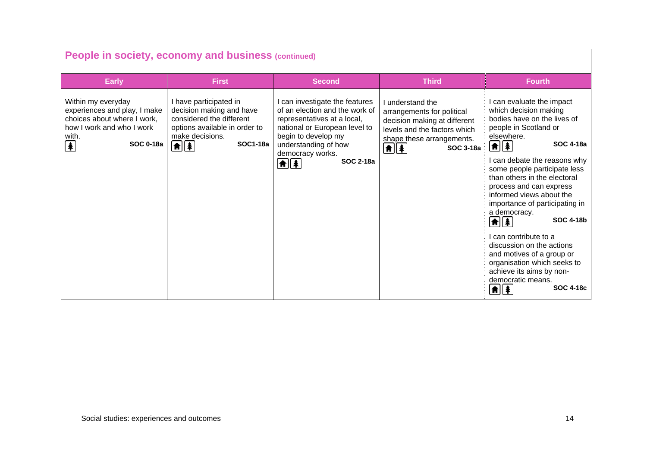| People in society, economy and business (continued)                                                                                                                                                 |                                                                                                                                                                               |                                                                                                                                                                                                                                                 |                                                                                                                                                                                                 |                                                                                                                                                                                                                                                                                                                                                                                                                                                                                                                                                                                                             |
|-----------------------------------------------------------------------------------------------------------------------------------------------------------------------------------------------------|-------------------------------------------------------------------------------------------------------------------------------------------------------------------------------|-------------------------------------------------------------------------------------------------------------------------------------------------------------------------------------------------------------------------------------------------|-------------------------------------------------------------------------------------------------------------------------------------------------------------------------------------------------|-------------------------------------------------------------------------------------------------------------------------------------------------------------------------------------------------------------------------------------------------------------------------------------------------------------------------------------------------------------------------------------------------------------------------------------------------------------------------------------------------------------------------------------------------------------------------------------------------------------|
| <b>Early</b>                                                                                                                                                                                        | <b>First</b>                                                                                                                                                                  | <b>Second</b>                                                                                                                                                                                                                                   | <b>Third</b>                                                                                                                                                                                    | <b>Fourth</b>                                                                                                                                                                                                                                                                                                                                                                                                                                                                                                                                                                                               |
| Within my everyday<br>experiences and play, I make<br>choices about where I work,<br>how I work and who I work<br>with.<br>$\left  \color{red} \clubsuit \color{black} \right $<br><b>SOC 0-18a</b> | I have participated in<br>decision making and have<br>considered the different<br>options available in order to<br>make decisions.<br><b>SOC1-18a</b><br>$\boxed{\textbf{f}}$ | I can investigate the features<br>of an election and the work of<br>representatives at a local,<br>national or European level to<br>begin to develop my<br>understanding of how<br>democracy works.<br><b>SOC 2-18a</b><br>$\boxed{\textbf{f}}$ | I understand the<br>arrangements for political<br>decision making at different<br>levels and the factors which<br>shape these arrangements.<br>$\left[ \frac{1}{2} \right]$<br><b>SOC 3-18a</b> | can evaluate the impact<br>which decision making<br>bodies have on the lives of<br>people in Scotland or<br>elsewhere.<br><b>SOC 4-18a</b><br>$\frac{1}{2}$<br>can debate the reasons why<br>some people participate less<br>than others in the electoral<br>process and can express<br>informed views about the<br>importance of participating in<br>a democracy.<br><b>SOC 4-18b</b><br>$\bigoplus$<br>can contribute to a<br>discussion on the actions<br>and motives of a group or<br>organisation which seeks to<br>achieve its aims by non-<br>democratic means.<br><b>SOC 4-18c</b><br><b>A</b>    ‡ |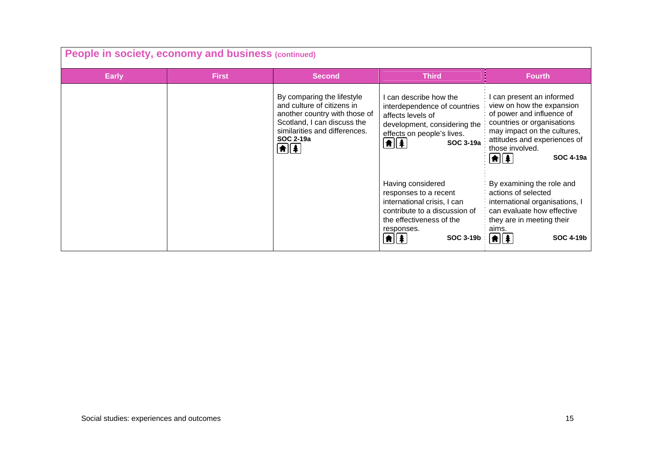| People in society, economy and business (continued) |              |                                                                                                                                                                                                               |                                                                                                                                                                                                       |                                                                                                                                                                                                                                                   |
|-----------------------------------------------------|--------------|---------------------------------------------------------------------------------------------------------------------------------------------------------------------------------------------------------------|-------------------------------------------------------------------------------------------------------------------------------------------------------------------------------------------------------|---------------------------------------------------------------------------------------------------------------------------------------------------------------------------------------------------------------------------------------------------|
| <b>Early</b>                                        | <b>First</b> | <b>Second</b>                                                                                                                                                                                                 | <b>Third</b>                                                                                                                                                                                          | <b>Fourth</b>                                                                                                                                                                                                                                     |
|                                                     |              | By comparing the lifestyle<br>and culture of citizens in<br>another country with those of<br>Scotland, I can discuss the<br>similarities and differences.<br>SOC 2-19a<br>$\boxed{\bullet}$ $\boxed{\bullet}$ | can describe how the<br>interdependence of countries<br>affects levels of<br>development, considering the<br>effects on people's lives.<br>$\boxed{\textbf{f}$<br>SOC 3-19a                           | I can present an informed<br>view on how the expansion<br>of power and influence of<br>countries or organisations<br>may impact on the cultures,<br>attitudes and experiences of<br>those involved.<br><b>SOC 4-19a</b><br>$  \hat{\mathbf{n}}  $ |
|                                                     |              |                                                                                                                                                                                                               | Having considered<br>responses to a recent<br>international crisis, I can<br>contribute to a discussion of<br>the effectiveness of the<br>responses.<br><b>SOC 3-19b</b><br><b>\#</b>    <del>1</del> | By examining the role and<br>actions of selected<br>international organisations, I<br>can evaluate how effective<br>they are in meeting their<br>aims.<br>★∥★<br><b>SOC 4-19b</b>                                                                 |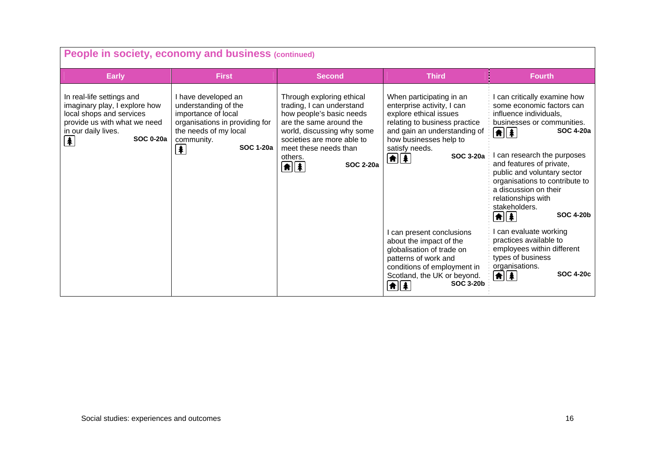| People in society, economy and business (continued)                                                                                                                                                    |                                                                                                                                                                                |                                                                                                                                                                                                                                                           |                                                                                                                                                                                                                                             |                                                                                                                                                                                                                                                                                                                                                                                                                                                          |
|--------------------------------------------------------------------------------------------------------------------------------------------------------------------------------------------------------|--------------------------------------------------------------------------------------------------------------------------------------------------------------------------------|-----------------------------------------------------------------------------------------------------------------------------------------------------------------------------------------------------------------------------------------------------------|---------------------------------------------------------------------------------------------------------------------------------------------------------------------------------------------------------------------------------------------|----------------------------------------------------------------------------------------------------------------------------------------------------------------------------------------------------------------------------------------------------------------------------------------------------------------------------------------------------------------------------------------------------------------------------------------------------------|
| <b>Early</b>                                                                                                                                                                                           | <b>First</b>                                                                                                                                                                   | <b>Second</b>                                                                                                                                                                                                                                             | <b>Third</b>                                                                                                                                                                                                                                | <b>Fourth</b>                                                                                                                                                                                                                                                                                                                                                                                                                                            |
| In real-life settings and<br>imaginary play, I explore how<br>local shops and services<br>provide us with what we need<br>in our daily lives.<br><b>SOC 0-20a</b><br>$\left  \mathbf{\pmb{*}} \right $ | I have developed an<br>understanding of the<br>importance of local<br>organisations in providing for<br>the needs of my local<br>community.<br><b>SOC 1-20a</b><br>$\clubsuit$ | Through exploring ethical<br>trading, I can understand<br>how people's basic needs<br>are the same around the<br>world, discussing why some<br>societies are more able to<br>meet these needs than<br>others.<br><b>SOC 2-20a</b><br>$\boxed{\textbf{f}}$ | When participating in an<br>enterprise activity, I can<br>explore ethical issues<br>relating to business practice<br>and gain an understanding of<br>how businesses help to<br>satisfy needs.<br>SOC 3-20a :<br>$\left  \mathbf{f} \right $ | can critically examine how<br>some economic factors can<br>influence individuals,<br>businesses or communities.<br><b>SOC 4-20a</b><br>$  \hat{\mathbf{n}}  \hat{\mathbf{z}}  $<br>can research the purposes<br>and features of private,<br>public and voluntary sector<br>organisations to contribute to<br>a discussion on their<br>relationships with<br>stakeholders.<br><b>SOC 4-20b</b><br>$\left  \mathbf{f} \right $ $\left  \mathbf{f} \right $ |
|                                                                                                                                                                                                        |                                                                                                                                                                                |                                                                                                                                                                                                                                                           | I can present conclusions<br>about the impact of the<br>globalisation of trade on<br>patterns of work and<br>conditions of employment in<br>Scotland, the UK or beyond.<br><b>SOC 3-20b</b><br>$\left  \mathbf{\hat{n}} \right $            | can evaluate working<br>practices available to<br>employees within different<br>types of business<br>organisations.<br><b>SOC 4-20c</b><br><b>till #</b>                                                                                                                                                                                                                                                                                                 |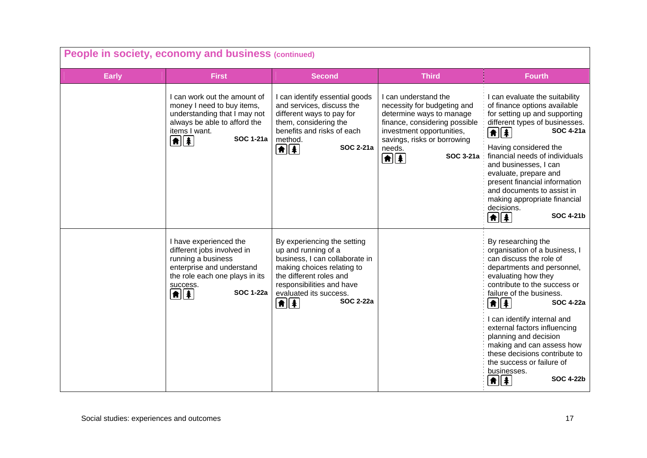| People in society, economy and business (continued) |                                                                                                                                                                                            |                                                                                                                                                                                                                                                 |                                                                                                                                                                                                                      |                                                                                                                                                                                                                                                                                                                                                                                                                                                                                                     |
|-----------------------------------------------------|--------------------------------------------------------------------------------------------------------------------------------------------------------------------------------------------|-------------------------------------------------------------------------------------------------------------------------------------------------------------------------------------------------------------------------------------------------|----------------------------------------------------------------------------------------------------------------------------------------------------------------------------------------------------------------------|-----------------------------------------------------------------------------------------------------------------------------------------------------------------------------------------------------------------------------------------------------------------------------------------------------------------------------------------------------------------------------------------------------------------------------------------------------------------------------------------------------|
| <b>Early</b>                                        | <b>First</b>                                                                                                                                                                               | <b>Second</b>                                                                                                                                                                                                                                   | <b>Third</b>                                                                                                                                                                                                         | <b>Fourth</b>                                                                                                                                                                                                                                                                                                                                                                                                                                                                                       |
|                                                     | I can work out the amount of<br>money I need to buy items,<br>understanding that I may not<br>always be able to afford the<br>items I want.<br><b>SOC 1-21a</b><br>$\frac{1}{\frac{1}{2}}$ | I can identify essential goods<br>and services, discuss the<br>different ways to pay for<br>them, considering the<br>benefits and risks of each<br>method.<br><b>SOC 2-21a</b><br>$\boxed{\textbf{f}$                                           | I can understand the<br>necessity for budgeting and<br>determine ways to manage<br>finance, considering possible<br>investment opportunities,<br>savings, risks or borrowing<br>needs.<br>SOC 3-21a<br>$\frac{1}{2}$ | I can evaluate the suitability<br>of finance options available<br>for setting up and supporting<br>different types of businesses.<br><b>SOC 4-21a</b><br>$\left  \mathbf{f} \right $<br>Having considered the<br>financial needs of individuals<br>and businesses, I can<br>evaluate, prepare and<br>present financial information<br>and documents to assist in<br>making appropriate financial<br>decisions.<br><b>SOC 4-21b</b><br>$\boxed{\textbf{f}}$                                          |
|                                                     | I have experienced the<br>different jobs involved in<br>running a business<br>enterprise and understand<br>the role each one plays in its<br>success.<br><b>SOC 1-22a</b><br>$\frac{1}{2}$ | By experiencing the setting<br>up and running of a<br>business, I can collaborate in<br>making choices relating to<br>the different roles and<br>responsibilities and have<br>evaluated its success.<br><b>SOC 2-22a</b><br>$\boxed{\textbf{f}$ |                                                                                                                                                                                                                      | By researching the<br>organisation of a business, I<br>can discuss the role of<br>departments and personnel,<br>evaluating how they<br>contribute to the success or<br>failure of the business.<br>$\left[ \frac{1}{2} \right]$<br><b>SOC 4-22a</b><br>I can identify internal and<br>external factors influencing<br>planning and decision<br>making and can assess how<br>these decisions contribute to<br>the success or failure of<br>businesses.<br><b>SOC 4-22b</b><br>$  \hat{\mathbf{n}}  $ |